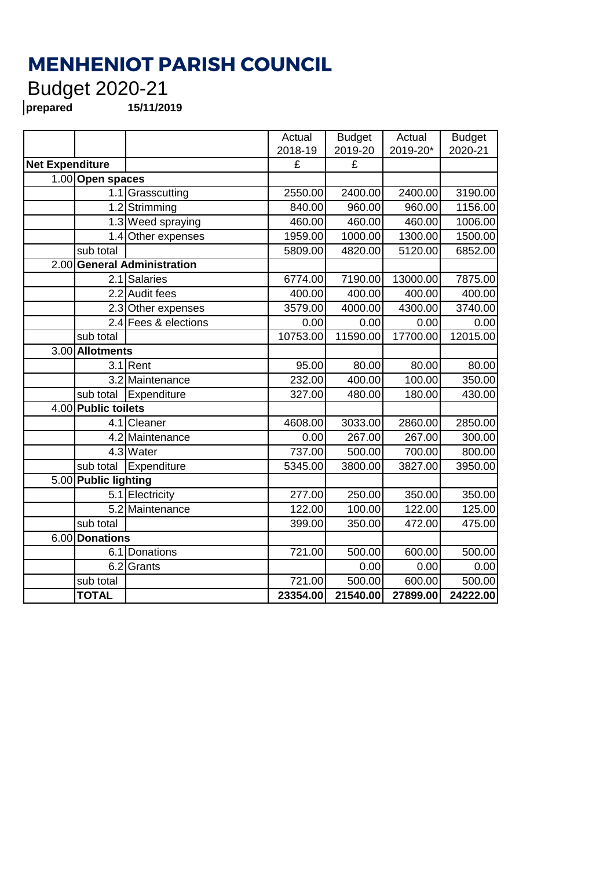## **MENHENIOT PARISH COUNCIL**

## Budget 2020-21

**prepared 15/11/2019**

|                                       |                      |                         | Actual                  | <b>Budget</b> | Actual   | <b>Budget</b> |
|---------------------------------------|----------------------|-------------------------|-------------------------|---------------|----------|---------------|
|                                       |                      |                         | 2018-19                 | 2019-20       | 2019-20* | 2020-21       |
| <b>Net Expenditure</b>                |                      | $\overline{\mathbf{f}}$ | $\overline{\mathbf{f}}$ |               |          |               |
|                                       | 1.00 Open spaces     |                         |                         |               |          |               |
|                                       |                      | 1.1 Grasscutting        | 2550.00                 | 2400.00       | 2400.00  | 3190.00       |
|                                       |                      | 1.2 Strimming           | 840.00                  | 960.00        | 960.00   | 1156.00       |
|                                       |                      | 1.3 Weed spraying       | 460.00                  | 460.00        | 460.00   | 1006.00       |
|                                       |                      | 1.4 Other expenses      | 1959.00                 | 1000.00       | 1300.00  | 1500.00       |
|                                       | sub total            |                         | 5809.00                 | 4820.00       | 5120.00  | 6852.00       |
| <b>General Administration</b><br>2.00 |                      |                         |                         |               |          |               |
|                                       |                      | 2.1 Salaries            | 6774.00                 | 7190.00       | 13000.00 | 7875.00       |
|                                       |                      | 2.2 Audit fees          | 400.00                  | 400.00        | 400.00   | 400.00        |
|                                       |                      | 2.3 Other expenses      | 3579.00                 | 4000.00       | 4300.00  | 3740.00       |
|                                       |                      | 2.4 Fees & elections    | 0.00                    | 0.00          | 0.00     | 0.00          |
|                                       | sub total            |                         | 10753.00                | 11590.00      | 17700.00 | 12015.00      |
| 3.00                                  | <b>Allotments</b>    |                         |                         |               |          |               |
|                                       |                      | $3.1$ Rent              | 95.00                   | 80.00         | 80.00    | 80.00         |
|                                       |                      | 3.2 Maintenance         | 232.00                  | 400.00        | 100.00   | 350.00        |
|                                       | sub total            | Expenditure             | 327.00                  | 480.00        | 180.00   | 430.00        |
|                                       | 4.00 Public toilets  |                         |                         |               |          |               |
|                                       |                      | 4.1 Cleaner             | 4608.00                 | 3033.00       | 2860.00  | 2850.00       |
|                                       |                      | 4.2 Maintenance         | 0.00                    | 267.00        | 267.00   | 300.00        |
|                                       |                      | 4.3 Water               | 737.00                  | 500.00        | 700.00   | 800.00        |
|                                       | sub total            | Expenditure             | 5345.00                 | 3800.00       | 3827.00  | 3950.00       |
|                                       | 5.00 Public lighting |                         |                         |               |          |               |
|                                       |                      | 5.1 Electricity         | 277.00                  | 250.00        | 350.00   | 350.00        |
|                                       |                      | 5.2 Maintenance         | 122.00                  | 100.00        | 122.00   | 125.00        |
|                                       | sub total            |                         | 399.00                  | 350.00        | 472.00   | 475.00        |
| 6.00<br><b>Donations</b>              |                      |                         |                         |               |          |               |
|                                       |                      | 6.1 Donations           | 721.00                  | 500.00        | 600.00   | 500.00        |
|                                       | 6.2                  | Grants                  |                         | 0.00          | 0.00     | 0.00          |
|                                       | sub total            |                         | 721.00                  | 500.00        | 600.00   | 500.00        |
|                                       | <b>TOTAL</b>         |                         | 23354.00                | 21540.00      | 27899.00 | 24222.00      |